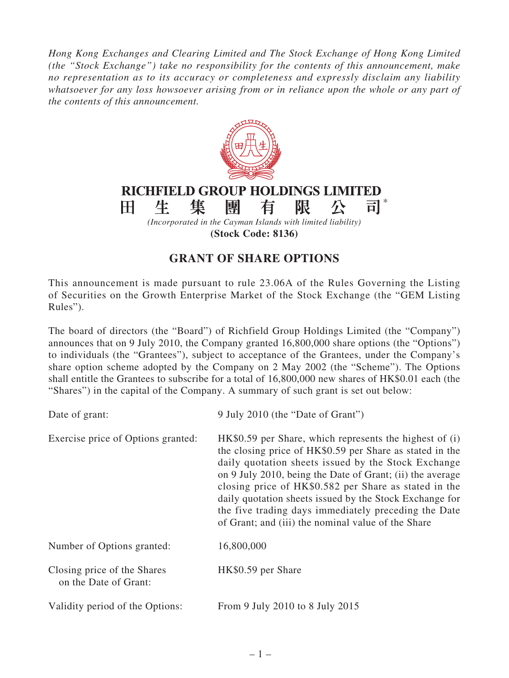*Hong Kong Exchanges and Clearing Limited and The Stock Exchange of Hong Kong Limited (the "Stock Exchange") take no responsibility for the contents of this announcement, make no representation as to its accuracy or completeness and expressly disclaim any liability whatsoever for any loss howsoever arising from or in reliance upon the whole or any part of the contents of this announcement.*



## **GRANT OF SHARE OPTIONS**

This announcement is made pursuant to rule 23.06A of the Rules Governing the Listing of Securities on the Growth Enterprise Market of the Stock Exchange (the "GEM Listing Rules").

The board of directors (the "Board") of Richfield Group Holdings Limited (the "Company") announces that on 9 July 2010, the Company granted 16,800,000 share options (the "Options") to individuals (the "Grantees"), subject to acceptance of the Grantees, under the Company's share option scheme adopted by the Company on 2 May 2002 (the "Scheme"). The Options shall entitle the Grantees to subscribe for a total of 16,800,000 new shares of HK\$0.01 each (the "Shares") in the capital of the Company. A summary of such grant is set out below:

| Date of grant:                                       | 9 July 2010 (the "Date of Grant")                                                                                                                                                                                                                                                                                                                                                                                                                                         |  |
|------------------------------------------------------|---------------------------------------------------------------------------------------------------------------------------------------------------------------------------------------------------------------------------------------------------------------------------------------------------------------------------------------------------------------------------------------------------------------------------------------------------------------------------|--|
| Exercise price of Options granted:                   | HK\$0.59 per Share, which represents the highest of (i)<br>the closing price of HK\$0.59 per Share as stated in the<br>daily quotation sheets issued by the Stock Exchange<br>on 9 July 2010, being the Date of Grant; (ii) the average<br>closing price of HK\$0.582 per Share as stated in the<br>daily quotation sheets issued by the Stock Exchange for<br>the five trading days immediately preceding the Date<br>of Grant; and (iii) the nominal value of the Share |  |
| Number of Options granted:                           | 16,800,000                                                                                                                                                                                                                                                                                                                                                                                                                                                                |  |
| Closing price of the Shares<br>on the Date of Grant: | HK\$0.59 per Share                                                                                                                                                                                                                                                                                                                                                                                                                                                        |  |
| Validity period of the Options:                      | From 9 July 2010 to 8 July 2015                                                                                                                                                                                                                                                                                                                                                                                                                                           |  |